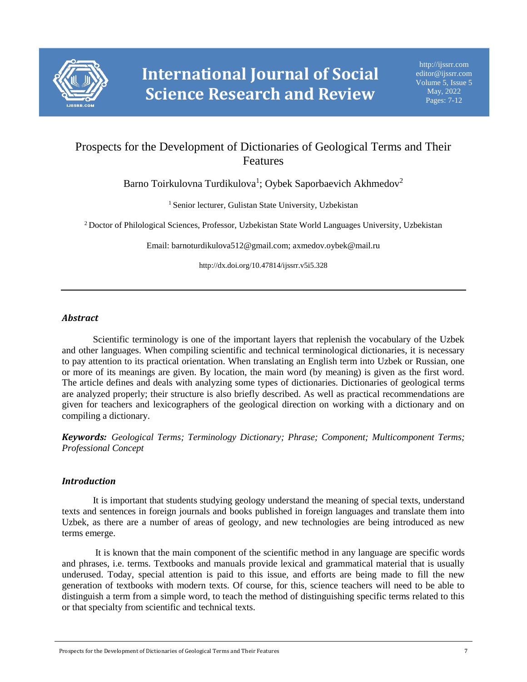

# Prospects for the Development of Dictionaries of Geological Terms and Their Features

Barno Toirkulovna Turdikulova<sup>1</sup>; Oybek Saporbaevich Akhmedov<sup>2</sup>

<sup>1</sup> Senior lecturer, Gulistan State University, Uzbekistan

<sup>2</sup> Doctor of Philological Sciences, Professor, Uzbekistan State World Languages University, Uzbekistan

Email: barnoturdikulova512@gmail.com; axmedov.oybek@mail.ru

http://dx.doi.org/10.47814/ijssrr.v5i5.328

## *Abstract*

Scientific terminology is one of the important layers that replenish the vocabulary of the Uzbek and other languages. When compiling scientific and technical terminological dictionaries, it is necessary to pay attention to its practical orientation. When translating an English term into Uzbek or Russian, one or more of its meanings are given. By location, the main word (by meaning) is given as the first word. The article defines and deals with analyzing some types of dictionaries. Dictionaries of geological terms are analyzed properly; their structure is also briefly described. As well as practical recommendations are given for teachers and lexicographers of the geological direction on working with a dictionary and on compiling a dictionary.

*Keywords: Geological Terms; Terminology Dictionary; Phrase; Component; Multicomponent Terms; Professional Concept*

## *Introduction*

It is important that students studying geology understand the meaning of special texts, understand texts and sentences in foreign journals and books published in foreign languages and translate them into Uzbek, as there are a number of areas of geology, and new technologies are being introduced as new terms emerge.

It is known that the main component of the scientific method in any language are specific words and phrases, i.e. terms. Textbooks and manuals provide lexical and grammatical material that is usually underused. Today, special attention is paid to this issue, and efforts are being made to fill the new generation of textbooks with modern texts. Of course, for this, science teachers will need to be able to distinguish a term from a simple word, to teach the method of distinguishing specific terms related to this or that specialty from scientific and technical texts.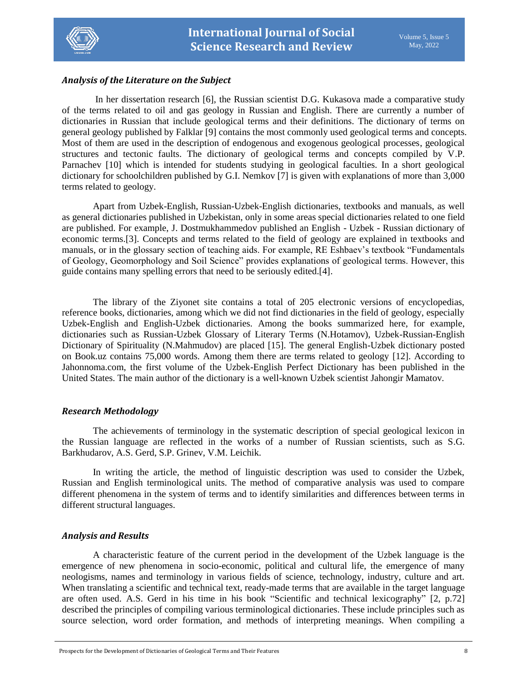

## *Analysis of the Literature on the Subject*

In her dissertation research [6], the Russian scientist D.G. Kukasova made a comparative study of the terms related to oil and gas geology in Russian and English. There are currently a number of dictionaries in Russian that include geological terms and their definitions. The dictionary of terms on general geology published by Falklar [9] contains the most commonly used geological terms and concepts. Most of them are used in the description of endogenous and exogenous geological processes, geological structures and tectonic faults. The dictionary of geological terms and concepts compiled by V.P. Parnachev [10] which is intended for students studying in geological faculties. In a short geological dictionary for schoolchildren published by G.I. Nemkov [7] is given with explanations of more than 3,000 terms related to geology.

Apart from Uzbek-English, Russian-Uzbek-English dictionaries, textbooks and manuals, as well as general dictionaries published in Uzbekistan, only in some areas special dictionaries related to one field are published. For example, J. Dostmukhammedov published an English - Uzbek - Russian dictionary of economic terms.[3]. Concepts and terms related to the field of geology are explained in textbooks and manuals, or in the glossary section of teaching aids. For example, RE Eshbaev's textbook "Fundamentals of Geology, Geomorphology and Soil Science" provides explanations of geological terms. However, this guide contains many spelling errors that need to be seriously edited.[4].

The library of the Ziyonet site contains a total of 205 electronic versions of encyclopedias, reference books, dictionaries, among which we did not find dictionaries in the field of geology, especially Uzbek-English and English-Uzbek dictionaries. Among the books summarized here, for example, dictionaries such as Russian-Uzbek Glossary of Literary Terms (N.Hotamov), Uzbek-Russian-English Dictionary of Spirituality (N.Mahmudov) are placed [15]. The general English-Uzbek dictionary posted on Book.uz contains 75,000 words. Among them there are terms related to geology [12]. According to Jahonnoma.com, the first volume of the Uzbek-English Perfect Dictionary has been published in the United States. The main author of the dictionary is a well-known Uzbek scientist Jahongir Mamatov.

## *Research Methodology*

The achievements of terminology in the systematic description of special geological lexicon in the Russian language are reflected in the works of a number of Russian scientists, such as S.G. Barkhudarov, A.S. Gerd, S.P. Grinev, V.M. Leichik.

In writing the article, the method of linguistic description was used to consider the Uzbek, Russian and English terminological units. The method of comparative analysis was used to compare different phenomena in the system of terms and to identify similarities and differences between terms in different structural languages.

## *Analysis and Results*

A characteristic feature of the current period in the development of the Uzbek language is the emergence of new phenomena in socio-economic, political and cultural life, the emergence of many neologisms, names and terminology in various fields of science, technology, industry, culture and art. When translating a scientific and technical text, ready-made terms that are available in the target language are often used. A.S. Gerd in his time in his book "Scientific and technical lexicography" [2, p.72] described the principles of compiling various terminological dictionaries. These include principles such as source selection, word order formation, and methods of interpreting meanings. When compiling a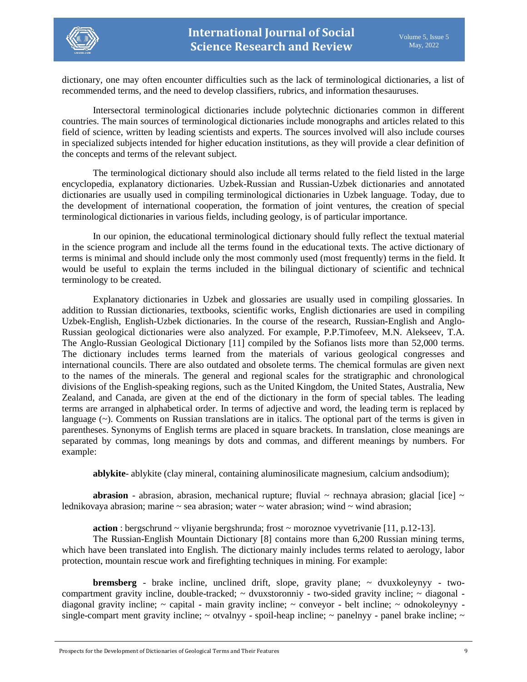

dictionary, one may often encounter difficulties such as the lack of terminological dictionaries, a list of recommended terms, and the need to develop classifiers, rubrics, and information thesauruses.

Intersectoral terminological dictionaries include polytechnic dictionaries common in different countries. The main sources of terminological dictionaries include monographs and articles related to this field of science, written by leading scientists and experts. The sources involved will also include courses in specialized subjects intended for higher education institutions, as they will provide a clear definition of the concepts and terms of the relevant subject.

The terminological dictionary should also include all terms related to the field listed in the large encyclopedia, explanatory dictionaries. Uzbek-Russian and Russian-Uzbek dictionaries and annotated dictionaries are usually used in compiling terminological dictionaries in Uzbek language. Today, due to the development of international cooperation, the formation of joint ventures, the creation of special terminological dictionaries in various fields, including geology, is of particular importance.

In our opinion, the educational terminological dictionary should fully reflect the textual material in the science program and include all the terms found in the educational texts. The active dictionary of terms is minimal and should include only the most commonly used (most frequently) terms in the field. It would be useful to explain the terms included in the bilingual dictionary of scientific and technical terminology to be created.

Explanatory dictionaries in Uzbek and glossaries are usually used in compiling glossaries. In addition to Russian dictionaries, textbooks, scientific works, English dictionaries are used in compiling Uzbek-English, English-Uzbek dictionaries. In the course of the research, Russian**-**English and Anglo-Russian geological dictionaries were also analyzed. For example, P.P.Timofeev, M.N. Alekseev, T.A. The Anglo-Russian Geological Dictionary [11] compiled by the Sofianos lists more than 52,000 terms. The dictionary includes terms learned from the materials of various geological congresses and international councils. There are also outdated and obsolete terms. The chemical formulas are given next to the names of the minerals. The general and regional scales for the stratigraphic and chronological divisions of the English-speaking regions, such as the United Kingdom, the United States, Australia, New Zealand, and Canada, are given at the end of the dictionary in the form of special tables. The leading terms are arranged in alphabetical order. In terms of adjective and word, the leading term is replaced by language (~). Comments on Russian translations are in italics. The optional part of the terms is given in parentheses. Synonyms of English terms are placed in square brackets. In translation, close meanings are separated by commas, long meanings by dots and commas, and different meanings by numbers. For example:

**ablykite**- ablykite (clay mineral, containing aluminosilicate magnesium, calcium andsodium);

**abrasion** - abrasion, abrasion, mechanical rupture; fluvial  $\sim$  rechnaya abrasion; glacial [ice]  $\sim$ lednikovaya abrasion; marine  $\sim$  sea abrasion; water  $\sim$  water abrasion; wind  $\sim$  wind abrasion;

**action** : bergschrund  $\sim$  vliyanie bergshrunda; frost  $\sim$  moroznoe vyvetrivanie [11, p.12-13].

The Russian-English Mountain Dictionary [8] contains more than 6,200 Russian mining terms, which have been translated into English. The dictionary mainly includes terms related to aerology, labor protection, mountain rescue work and firefighting techniques in mining. For example:

**bremsberg** - brake incline, unclined drift, slope, gravity plane;  $\sim$  dvuxkoleynyy - twocompartment gravity incline, double-tracked;  $\sim$  dvuxstoronniy - two-sided gravity incline;  $\sim$  diagonal diagonal gravity incline; ~ capital - main gravity incline; ~ conveyor - belt incline; ~ odnokoleynyy single-compart ment gravity incline;  $\sim$  otvalnyy - spoil-heap incline;  $\sim$  panelnyy - panel brake incline;  $\sim$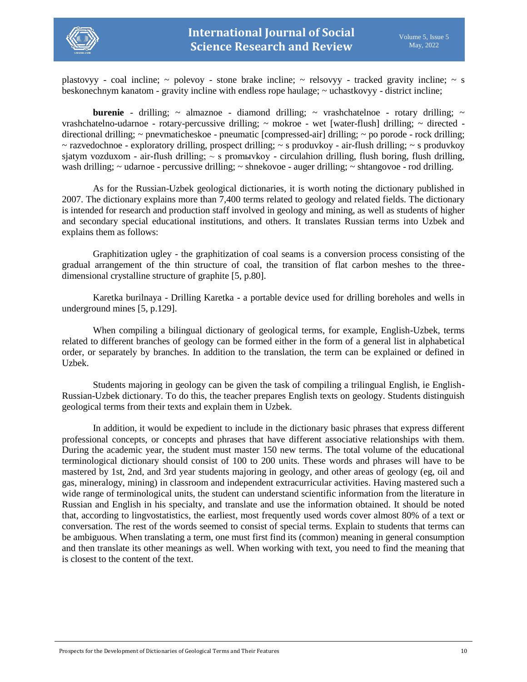

plastovy - coal incline;  $\sim$  polevoy - stone brake incline;  $\sim$  relsovy - tracked gravity incline;  $\sim$  s beskonechnym kanatom - gravity incline with endless rope haulage;  $\sim$  uchastkovyy - district incline;

**burenie** - drilling;  $\sim$  almaznoe - diamond drilling;  $\sim$  vrashchatelnoe - rotary drilling;  $\sim$ vrashchatelno-udarnoe - rotary-percussive drilling; ~ mokroe - wet [water-flush] drilling; ~ directed directional drilling; ~ pnevmaticheskoe - pneumatic [compressed-air] drilling; ~ po porode - rock drilling; ~ razvedochnoe - exploratory drilling, prospect drilling; ~ s produvkoy - air-flush drilling; ~ s produvkoy sjatym vozduxom - air-flush drilling;  $\sim$  s promuvkoy - circulahion drilling, flush boring, flush drilling, wash drilling;  $\sim$  udarnoe - percussive drilling;  $\sim$  shnekovoe - auger drilling;  $\sim$  shtangovoe - rod drilling.

As for the Russian-Uzbek geological dictionaries, it is worth noting the dictionary published in 2007. The dictionary explains more than 7,400 terms related to geology and related fields. The dictionary is intended for research and production staff involved in geology and mining, as well as students of higher and secondary special educational institutions, and others. It translates Russian terms into Uzbek and explains them as follows:

Graphitization ugley - the graphitization of coal seams is a conversion process consisting of the gradual arrangement of the thin structure of coal, the transition of flat carbon meshes to the threedimensional crystalline structure of graphite [5, p.80].

Karetka burilnaya - Drilling Karetka - a portable device used for drilling boreholes and wells in underground mines [5, p.129].

When compiling a bilingual dictionary of geological terms, for example, English-Uzbek, terms related to different branches of geology can be formed either in the form of a general list in alphabetical order, or separately by branches. In addition to the translation, the term can be explained or defined in Uzbek.

Students majoring in geology can be given the task of compiling a trilingual English, ie English-Russian-Uzbek dictionary. To do this, the teacher prepares English texts on geology. Students distinguish geological terms from their texts and explain them in Uzbek.

In addition, it would be expedient to include in the dictionary basic phrases that express different professional concepts, or concepts and phrases that have different associative relationships with them. During the academic year, the student must master 150 new terms. The total volume of the educational terminological dictionary should consist of 100 to 200 units. These words and phrases will have to be mastered by 1st, 2nd, and 3rd year students majoring in geology, and other areas of geology (eg, oil and gas, mineralogy, mining) in classroom and independent extracurricular activities. Having mastered such a wide range of terminological units, the student can understand scientific information from the literature in Russian and English in his specialty, and translate and use the information obtained. It should be noted that, according to lingvostatistics, the earliest, most frequently used words cover almost 80% of a text or conversation. The rest of the words seemed to consist of special terms. Explain to students that terms can be ambiguous. When translating a term, one must first find its (common) meaning in general consumption and then translate its other meanings as well. When working with text, you need to find the meaning that is closest to the content of the text.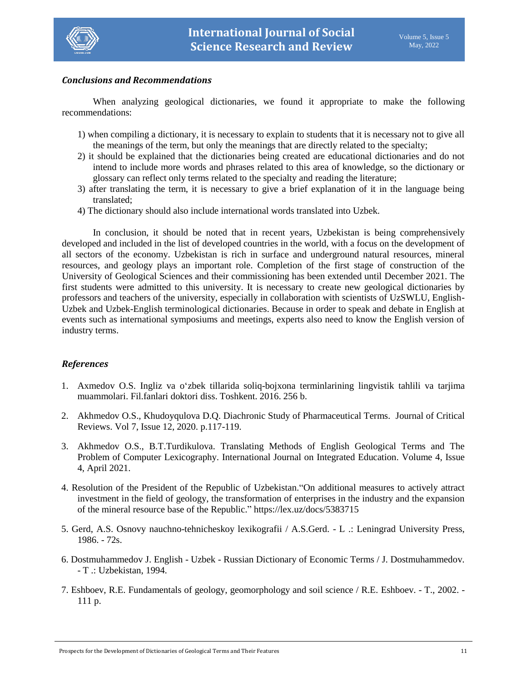

## *Conclusions and Recommendations*

When analyzing geological dictionaries, we found it appropriate to make the following recommendations:

- 1) when compiling a dictionary, it is necessary to explain to students that it is necessary not to give all the meanings of the term, but only the meanings that are directly related to the specialty;
- 2) it should be explained that the dictionaries being created are educational dictionaries and do not intend to include more words and phrases related to this area of knowledge, so the dictionary or glossary can reflect only terms related to the specialty and reading the literature;
- 3) after translating the term, it is necessary to give a brief explanation of it in the language being translated;
- 4) The dictionary should also include international words translated into Uzbek.

In conclusion, it should be noted that in recent years, Uzbekistan is being comprehensively developed and included in the list of developed countries in the world, with a focus on the development of all sectors of the economy. Uzbekistan is rich in surface and underground natural resources, mineral resources, and geology plays an important role. Completion of the first stage of construction of the University of Geological Sciences and their commissioning has been extended until December 2021. The first students were admitted to this university. It is necessary to create new geological dictionaries by professors and teachers of the university, especially in collaboration with scientists of UzSWLU, English-Uzbek and Uzbek-English terminological dictionaries. Because in order to speak and debate in English at events such as international symposiums and meetings, experts also need to know the English version of industry terms.

## *References*

- 1. Axmedov O.S. Ingliz va o'zbek tillarida soliq-bojxona terminlarining lingvistik tahlili va tarjima muammolari. Fil.fanlari doktori diss. Toshkent. 2016. 256 b.
- 2. Akhmedov O.S., Khudoyqulova D.Q. Diachronic Study of Pharmaceutical Terms. Journal of Critical Reviews. Vol 7, Issue 12, 2020. p.117-119.
- 3. Akhmedov O.S., B.T.Turdikulova. Translating Methods of English Geological Terms and The Problem of Computer Lexicography. International Journal on Integrated Education. Volume 4, Issue 4, April 2021.
- 4. Resolution of the President of the Republic of Uzbekistan."On additional measures to actively attract investment in the field of geology, the transformation of enterprises in the industry and the expansion of the mineral resource base of the Republic." <https://lex.uz/docs/5383715>
- 5. Gerd, A.S. Osnovy nauchno-tehnicheskoy lexikografii / A.S.Gerd. L .: Leningrad University Press, 1986. - 72s.
- 6. Dostmuhammedov J. English Uzbek Russian Dictionary of Economic Terms / J. Dostmuhammedov. - T .: Uzbekistan, 1994.
- 7. Eshboev, R.E. Fundamentals of geology, geomorphology and soil science / R.E. Eshboev. T., 2002. 111 p.